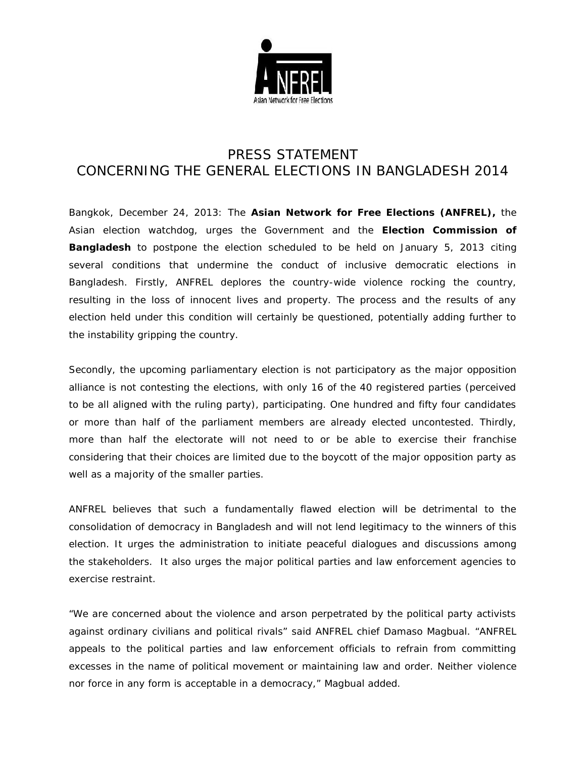

## PRESS STATEMENT CONCERNING THE GENERAL ELECTIONS IN BANGLADESH 2014

Bangkok, December 24, 2013: The **Asian Network for Free Elections (ANFREL),** the Asian election watchdog, urges the Government and the **Election Commission of Bangladesh** to postpone the election scheduled to be held on January 5, 2013 citing several conditions that undermine the conduct of inclusive democratic elections in Bangladesh. Firstly, ANFREL deplores the country-wide violence rocking the country, resulting in the loss of innocent lives and property. The process and the results of any election held under this condition will certainly be questioned, potentially adding further to the instability gripping the country.

Secondly, the upcoming parliamentary election is not participatory as the major opposition alliance is not contesting the elections, with only 16 of the 40 registered parties (perceived to be all aligned with the ruling party), participating. One hundred and fifty four candidates or more than half of the parliament members are already elected uncontested. Thirdly, more than half the electorate will not need to or be able to exercise their franchise considering that their choices are limited due to the boycott of the major opposition party as well as a majority of the smaller parties.

ANFREL believes that such a fundamentally flawed election will be detrimental to the consolidation of democracy in Bangladesh and will not lend legitimacy to the winners of this election. It urges the administration to initiate peaceful dialogues and discussions among the stakeholders. It also urges the major political parties and law enforcement agencies to exercise restraint.

*"We are concerned about the violence and arson perpetrated by the political party activists against ordinary civilians and political rivals"* said ANFREL chief Damaso Magbual. *"ANFREL appeals to the political parties and law enforcement officials to refrain from committing excesses in the name of political movement or maintaining law and order. Neither violence nor force in any form is acceptable in a democracy,"* Magbual added.